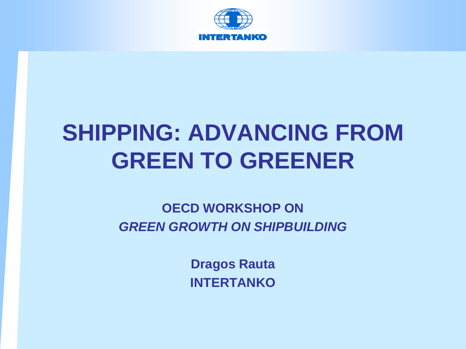

#### **SHIPPING: ADVANCING FROM GREEN TO GREENER**

#### **OECD WORKSHOP ON** *GREEN GROWTH ON SHIPBUILDING*

**Dragos Rauta INTERTANKO**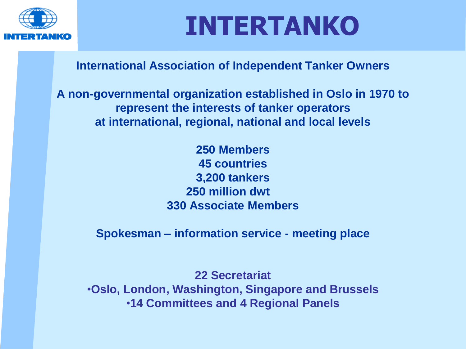

# **INTERTANKO**

#### **International Association of Independent Tanker Owners**

**A non-governmental organization established in Oslo in 1970 to represent the interests of tanker operators at international, regional, national and local levels** 

> **250 Members 45 countries 3,200 tankers 250 million dwt 330 Associate Members**

**Spokesman – information service - meeting place**

**22 Secretariat** •**Oslo, London, Washington, Singapore and Brussels** •**14 Committees and 4 Regional Panels**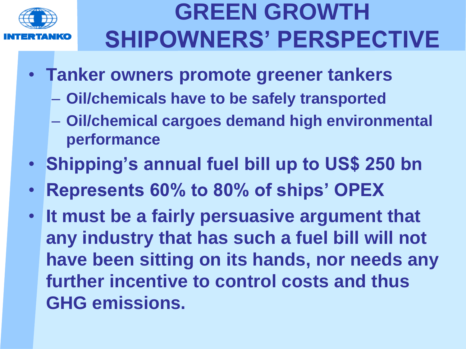

#### **GREEN GROWTH SHIPOWNERS' PERSPECTIVE**

- **Tanker owners promote greener tankers** 
	- **Oil/chemicals have to be safely transported**
	- **Oil/chemical cargoes demand high environmental performance**
- **Shipping's annual fuel bill up to US\$ 250 bn**
- **Represents 60% to 80% of ships' OPEX**
- **It must be a fairly persuasive argument that any industry that has such a fuel bill will not have been sitting on its hands, nor needs any further incentive to control costs and thus GHG emissions.**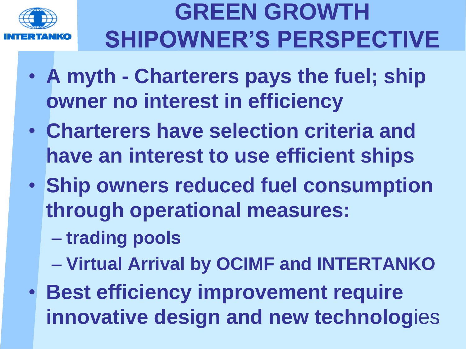

## **GREEN GROWTH SHIPOWNER'S PERSPECTIVE**

- **A myth - Charterers pays the fuel; ship owner no interest in efficiency**
- **Charterers have selection criteria and have an interest to use efficient ships**
- **Ship owners reduced fuel consumption through operational measures:**
	- **trading pools**
	- **Virtual Arrival by OCIMF and INTERTANKO**
- **Best efficiency improvement require innovative design and new technolog**ies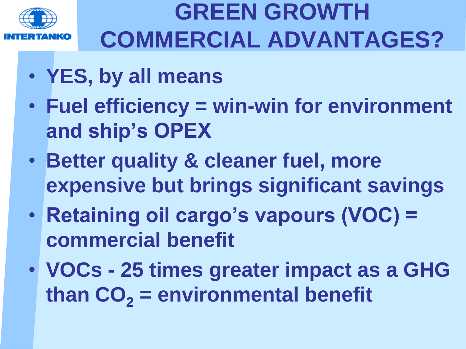

## **GREEN GROWTH COMMERCIAL ADVANTAGES?**

- **YES, by all means**
- **Fuel efficiency = win-win for environment and ship's OPEX**
- **Better quality & cleaner fuel, more expensive but brings significant savings**
- **Retaining oil cargo's vapours (VOC) = commercial benefit**
- **VOCs - 25 times greater impact as a GHG than CO<sup>2</sup> = environmental benefit**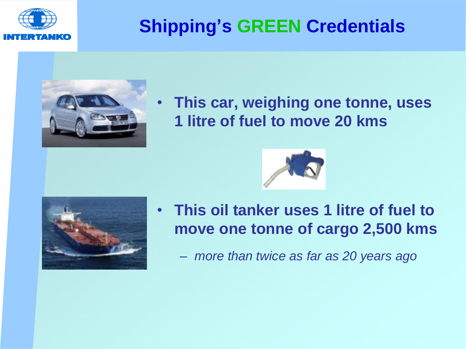

#### **Shipping's GREEN Credentials**



• **This car, weighing one tonne, uses 1 litre of fuel to move 20 kms**





- **This oil tanker uses 1 litre of fuel to move one tonne of cargo 2,500 kms**
	- *more than twice as far as 20 years ago*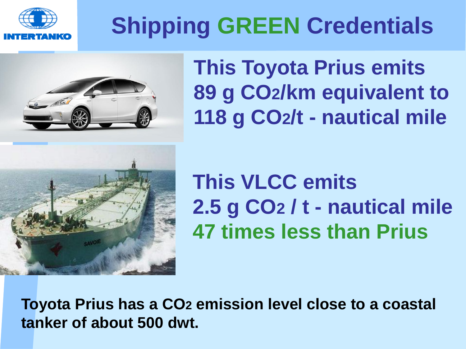

# **Shipping GREEN Credentials**



**This Toyota Prius emits 89 g CO2/km equivalent to 118 g CO2/t - nautical mile**



**This VLCC emits 2.5 g CO2 / t - nautical mile 47 times less than Prius**

**Toyota Prius has a CO2 emission level close to a coastal tanker of about 500 dwt.**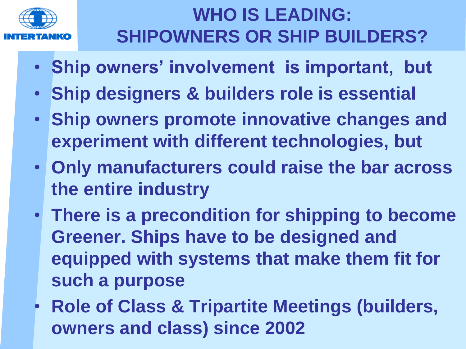

#### **WHO IS LEADING: SHIPOWNERS OR SHIP BUILDERS?**

- **Ship owners' involvement is important, but**
- **Ship designers & builders role is essential**
- **Ship owners promote innovative changes and experiment with different technologies, but**
- **Only manufacturers could raise the bar across the entire industry**
- **There is a precondition for shipping to become Greener. Ships have to be designed and equipped with systems that make them fit for such a purpose**
- **Role of Class & Tripartite Meetings (builders, owners and class) since 2002**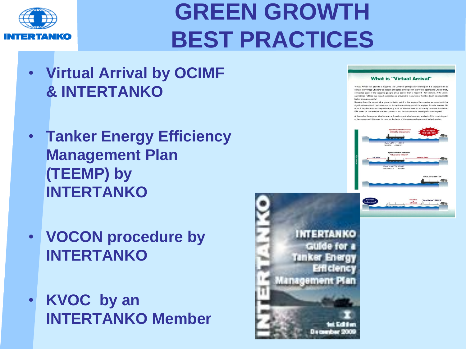

#### **GREEN GROWTH BEST PRACTICES**

- **Virtual Arrival by OCIMF & INTERTANKO**
- **Tanker Energy Efficiency Management Plan (TEEMP) by INTERTANKO**
- **VOCON procedure by INTERTANKO**
- **KVOC by an INTERTANKO Member**



#### **What is "Virtual Arrival"**

"Virtual Arrival" will provide a trigger to the Owner or perhaps any counterpart in a voyage chain t contact the Voyage Charterer to discuss and agree slowing down the vessel against the Charter Part contracted speed if the vessel is going to arrive sooner than is required - for example, if the vesse cannot load / offload due to port congestion or unavailable resources or facilities (such as unavailal tanker storage capacity.)

Slowing down the vessel at a given (variable) point in the voyage then creates an o significant reduction in fuel consumption during the remaining part of the voyage. In order to make this work, it requires that an independent party such as Weathernews to accurately calculate the revise ETA based on true weather and sea currents - and thus an accurate vessel performance speed.

At the end of the voyage. Weathernews will produce a detailed summary analysis of the remaining pa of the voyage and this could be used as the basis of discussion and agreement by both parties



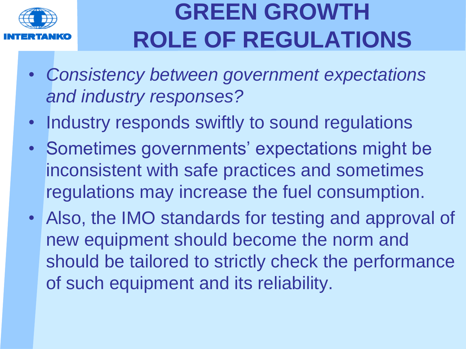

- *Consistency between government expectations and industry responses?*
- Industry responds swiftly to sound regulations
- Sometimes governments' expectations might be inconsistent with safe practices and sometimes regulations may increase the fuel consumption.
- Also, the IMO standards for testing and approval of new equipment should become the norm and should be tailored to strictly check the performance of such equipment and its reliability.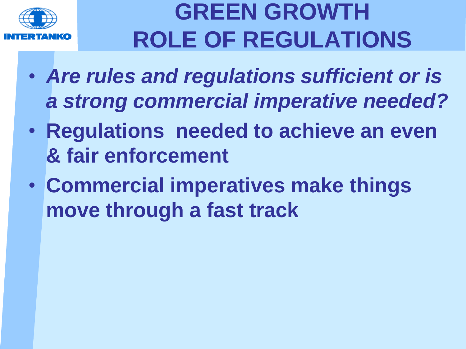

- *Are rules and regulations sufficient or is a strong commercial imperative needed?*
- **Regulations needed to achieve an even & fair enforcement**
- **Commercial imperatives make things move through a fast track**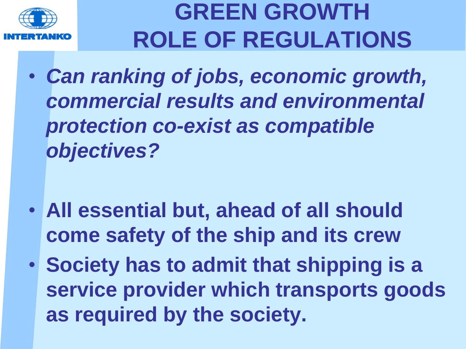

- *Can ranking of jobs, economic growth, commercial results and environmental protection co-exist as compatible objectives?*
- **All essential but, ahead of all should come safety of the ship and its crew**
- **Society has to admit that shipping is a service provider which transports goods as required by the society.**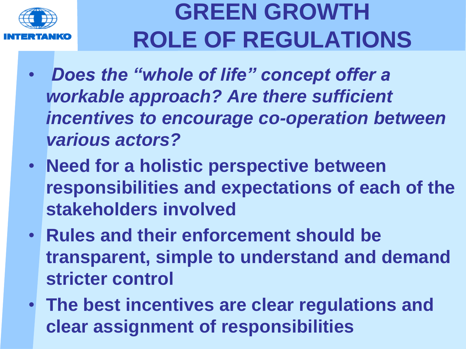

- *Does the "whole of life" concept offer a workable approach? Are there sufficient incentives to encourage co-operation between various actors?*
- **Need for a holistic perspective between responsibilities and expectations of each of the stakeholders involved**
- **Rules and their enforcement should be transparent, simple to understand and demand stricter control**
- **The best incentives are clear regulations and clear assignment of responsibilities**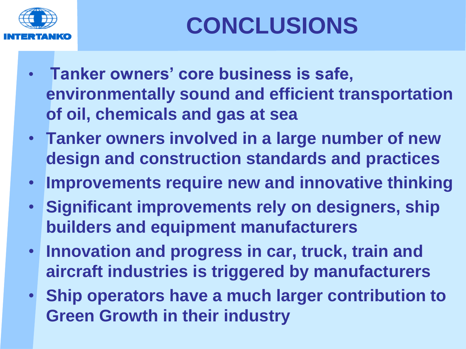

- **Tanker owners' core business is safe, environmentally sound and efficient transportation of oil, chemicals and gas at sea**
- **Tanker owners involved in a large number of new design and construction standards and practices**
- **Improvements require new and innovative thinking**
- **Significant improvements rely on designers, ship builders and equipment manufacturers**
- **Innovation and progress in car, truck, train and aircraft industries is triggered by manufacturers**
- **Ship operators have a much larger contribution to Green Growth in their industry**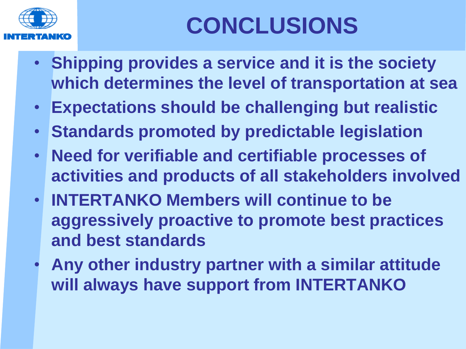

# **CONCLUSIONS**

- **Shipping provides a service and it is the society which determines the level of transportation at sea**
- **Expectations should be challenging but realistic**
- **Standards promoted by predictable legislation**
- **Need for verifiable and certifiable processes of activities and products of all stakeholders involved**
- **INTERTANKO Members will continue to be aggressively proactive to promote best practices and best standards**
- **Any other industry partner with a similar attitude will always have support from INTERTANKO**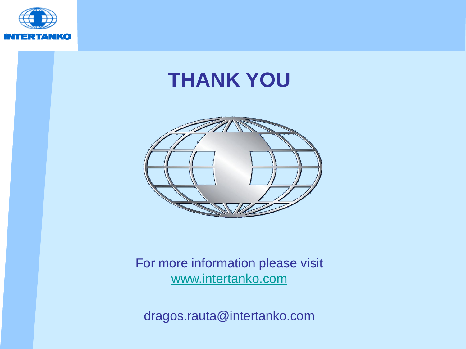

#### **THANK YOU**



#### For more information please visit [www.intertanko.com](http://www.intertanko.com/)

dragos.rauta@intertanko.com